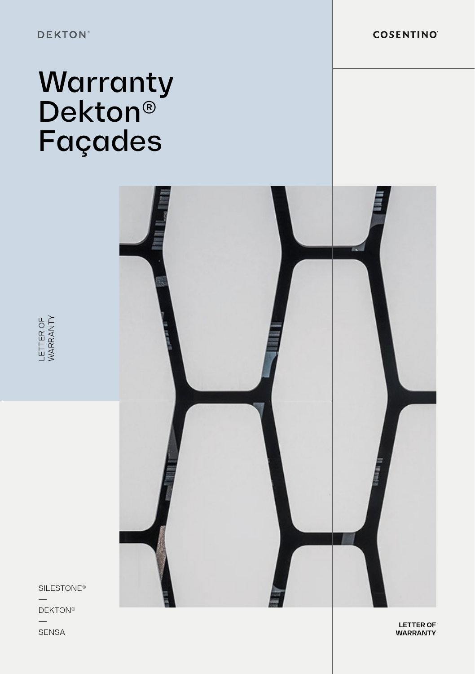**COSENTINO** 

# Warranty Dekton® Façades



LETTER OF<br>WARRANTY SENSA LETTER OF WARRANTY<br>SENSA WARRANTY<br>SENSA

SILESTONE®

**DEKTON®** 

**SENSA** 

**LETTER OF WARRANTY**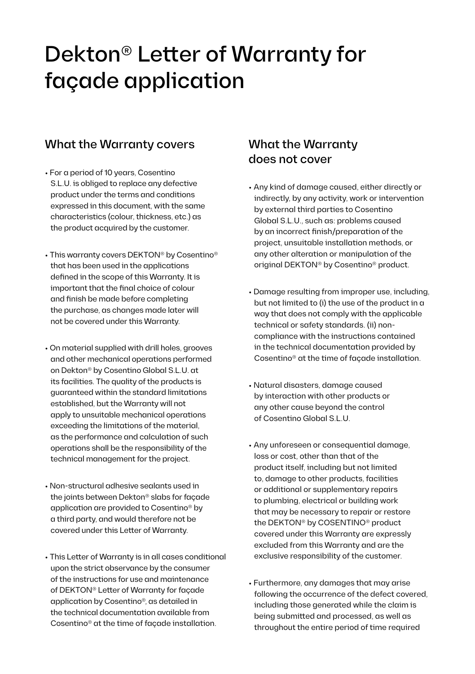## Dekton® Letter of Warranty for façade application

#### What the Warranty covers

- For a period of 10 years, Cosentino S.L.U. is obliged to replace any defective product under the terms and conditions expressed in this document, with the same characteristics (colour, thickness, etc.) as the product acquired by the customer.
- This warranty covers DEKTON® by Cosentino® that has been used in the applications defined in the scope of this Warranty. It is important that the final choice of colour and finish be made before completing the purchase, as changes made later will not be covered under this Warranty.
- On material supplied with drill holes, grooves and other mechanical operations performed on Dekton® by Cosentino Global S.L.U. at its facilities. The quality of the products is guaranteed within the standard limitations established, but the Warranty will not apply to unsuitable mechanical operations exceeding the limitations of the material, as the performance and calculation of such operations shall be the responsibility of the technical management for the project.
- Non-structural adhesive sealants used in the joints between Dekton® slabs for façade application are provided to Cosentino® by a third party, and would therefore not be covered under this Letter of Warranty.
- This Letter of Warranty is in all cases conditional upon the strict observance by the consumer of the instructions for use and maintenance of DEKTON® Letter of Warranty for façade application by Cosentino®, as detailed in the technical documentation available from Cosentino® at the time of façade installation.

#### What the Warranty does not cover

- Any kind of damage caused, either directly or indirectly, by any activity, work or intervention by external third parties to Cosentino Global S.L.U., such as: problems caused by an incorrect finish/preparation of the project, unsuitable installation methods, or any other alteration or manipulation of the original DEKTON® by Cosentino® product.
- Damage resulting from improper use, including, but not limited to (i) the use of the product in a way that does not comply with the applicable technical or safety standards. (ii) noncompliance with the instructions contained in the technical documentation provided by Cosentino® at the time of façade installation.
- Natural disasters, damage caused by interaction with other products or any other cause beyond the control of Cosentino Global S.L.U.
- Any unforeseen or consequential damage, loss or cost, other than that of the product itself, including but not limited to, damage to other products, facilities or additional or supplementary repairs to plumbing, electrical or building work that may be necessary to repair or restore the DEKTON® by COSENTINO® product covered under this Warranty are expressly excluded from this Warranty and are the exclusive responsibility of the customer.
- Furthermore, any damages that may arise following the occurrence of the defect covered, including those generated while the claim is being submitted and processed, as well as throughout the entire period of time required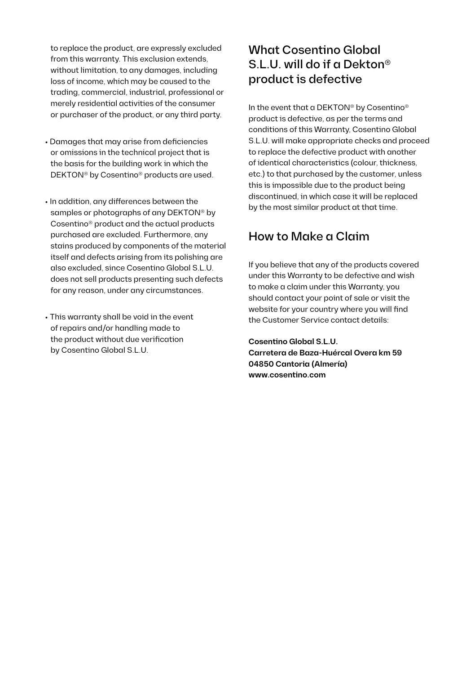to replace the product, are expressly excluded from this warranty. This exclusion extends, without limitation, to any damages, including loss of income, which may be caused to the trading, commercial, industrial, professional or merely residential activities of the consumer or purchaser of the product, or any third party.

- Damages that may arise from deficiencies or omissions in the technical project that is the basis for the building work in which the DEKTON® by Cosentino® products are used.
- In addition, any differences between the samples or photographs of any DEKTON® by Cosentino® product and the actual products purchased are excluded. Furthermore, any stains produced by components of the material itself and defects arising from its polishing are also excluded, since Cosentino Global S.L.U. does not sell products presenting such defects for any reason, under any circumstances.
- This warranty shall be void in the event of repairs and/or handling made to the product without due verification by Cosentino Global S.L.U.

### What Cosentino Global S.L.U. will do if a Dekton® product is defective

In the event that a DEKTON® by Cosentino® product is defective, as per the terms and conditions of this Warranty, Cosentino Global S.L.U. will make appropriate checks and proceed to replace the defective product with another of identical characteristics (colour, thickness, etc.) to that purchased by the customer, unless this is impossible due to the product being discontinued, in which case it will be replaced by the most similar product at that time.

### How to Make a Claim

If you believe that any of the products covered under this Warranty to be defective and wish to make a claim under this Warranty, you should contact your point of sale or visit the website for your country where you will find the Customer Service contact details:

**Cosentino Global S.L.U. Carretera de Baza-Huércal Overa km 59 04850 Cantoria (Almería) www.cosentino.com**